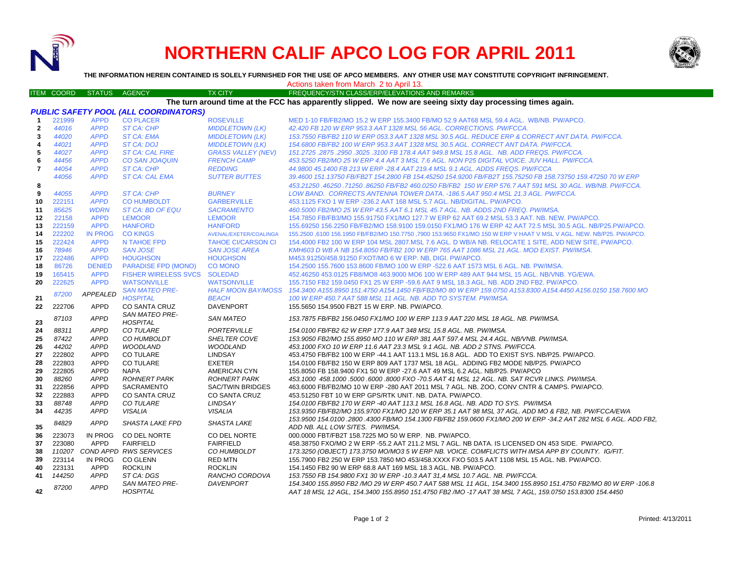

# **NORTHERN CALIF APCO LOG FOR APRIL 2011**



**THE INFORMATION HEREIN CONTAINED IS SOLELY FURNISHED FOR THE USE OF APCO MEMBERS. ANY OTHER USE MAY CONSTITUTE COPYRIGHT INFRINGEMENT.**

ITEM COORD STATUS AGENCY TX CITY FREQUENCY/STN CLASS/ERP/ELEVATIONS AND REMARKS

Actions taken from March 2 to April 13.

#### **The turn around time at the FCC has apparently slipped. We now are seeing sixty day processing times again.**

|                |        |                 | <b>PUBLIC SAFETY POOL (ALL COORDINATORS)</b> |                           |                                                                                                                     |
|----------------|--------|-----------------|----------------------------------------------|---------------------------|---------------------------------------------------------------------------------------------------------------------|
| $\mathbf{1}$   | 221999 | <b>APPD</b>     | <b>CO PLACER</b>                             | <b>ROSEVILLE</b>          | MED 1-10 FB/FB2/MO 15.2 W ERP 155.3400 FB/MO 52.9 AAT68 MSL 59.4 AGL. WB/NB, PW/APCO,                               |
| $\overline{2}$ | 44016  | <b>APPD</b>     | ST CA: CHP                                   | <b>MIDDLETOWN (LK)</b>    | 42.420 FB 120 W ERP 953.3 AAT 1328 MSL 56 AGL. CORRECTIONS. PW/FCCA.                                                |
| 3              | 44020  | <b>APPD</b>     | <b>ST CA: EMA</b>                            | <b>MIDDLETOWN (LK)</b>    | 153.7550 FB/FB2 110 W ERP 053.3 AAT 1328 MSL 30.5 AGL. REDUCE ERP & CORRECT ANT DATA. PW/FCCA.                      |
| $\overline{4}$ | 44021  | <b>APPD</b>     | <b>ST CA: DOJ</b>                            | <b>MIDDLETOWN (LK)</b>    | 154.6800 FB/FB2 100 W ERP 953.3 AAT 1328 MSL 30.5 AGL. CORRECT ANT DATA. PW/FCCA.                                   |
| 5              | 44027  | <b>APPD</b>     | <b>ST CA: CAL FIRE</b>                       | <b>GRASS VALLEY (NEV)</b> | 151.2725.2875.2950.3025.3100 FB 178.4 AAT 949.8 MSL 15.8 AGL. NB. ADD FREQS. PW/FCCA.                               |
| 6              | 44456  | <b>APPD</b>     | <b>CO SAN JOAQUIN</b>                        | <b>FRENCH CAMP</b>        | 453.5250 FB2/MO 25 W ERP 4.4 AAT 3 MSL 7.6 AGL. NON P25 DIGITAL VOICE. JUV HALL. PW/FCCA.                           |
| 7              | 44054  | <b>APPD</b>     | <b>ST CA: CHP</b>                            | <b>REDDING</b>            | 44.9800 45.1400 FB 213 W ERP -28.4 AAT 219.4 MSL 9.1 AGL. ADDS FREQS. PW/FCCA                                       |
|                | 44056  | <b>APPD</b>     | <b>ST CA: CAL EMA</b>                        | <b>SUTTER BUTTES</b>      | 39.4600 151.13750 FB/FB2T 154.2800 FB 154.45250 154.9200 FB/FB2T 155.75250 FB 158.73750 159.47250 70 W ERP          |
| 8              |        |                 |                                              |                           | 453.21250 .46250 .71250 .86250 FB/FB2 460.0250 FB/FB2 150 W ERP 576.7 AAT 591 MSL 30 AGL. WB/NB, PW/FCCA.           |
| 9              | 44055  | <b>APPD</b>     | <b>ST CA: CHP</b>                            | <b>BURNEY</b>             | LOW BAND. CORRECTS ANTENNA TOWER DATA. -186.5 AAT 950.4 MSL 21.3 AGL. PW/FCCA.                                      |
| 10             | 222151 | <b>APPD</b>     | <b>CO HUMBOLDT</b>                           | <b>GARBERVILLE</b>        | 453.1125 FXO 1 W ERP - 236.2 AAT 168 MSL 5.7 AGL, NB/DIGITAL, PW/APCO.                                              |
| 11             | 85625  | <b>WDRN</b>     | ST CA: BD OF EQU                             | <b>SACRAMENTO</b>         | 460.5000 FB2/MO 25 W ERP 43.5 AAT 6.1 MSL 45.7 AGL. NB. ADDS 2ND FREQ. PW/IMSA.                                     |
| 12             | 22158  | <b>APPD</b>     | <b>LEMOOR</b>                                | <b>LEMOOR</b>             | 154.7850 FB/FB3/MO 155.91750 FX1/MO 127.7 W ERP 62 AAT 69.2 MSL 53.3 AAT, NB, NEW, PW/APCO,                         |
| 13             | 222159 | <b>APPD</b>     | <b>HANFORD</b>                               | <b>HANFORD</b>            | 155.69250 156.2250 FB/FB2/MO 158.9100 159.0150 FX1/MO 176 W ERP 42 AAT 72.5 MSL 30.5 AGL. NB/P25.PW/APCO.           |
| 14             | 222202 | <b>IN PROG</b>  | <b>CO KINGS</b>                              | AVENAL/EXETER/COALINGA    | 155,2500 6100 156,1950 FB/FB2/MO 150,7750 ,7900 153,9650 FX1/MO 150 W ERP V HAAT V MSL V AGL. NEW, NB/P25, PW/APCO, |
| 15             | 222424 | <b>APPD</b>     | N TAHOE FPD                                  | <b>TAHOE CI/CARSON CI</b> | 154,4000 FB2 100 W ERP 104 MSL 2807.MSL 7.6 AGL. D WB/A NB, RELOCATE 1 SITE, ADD NEW SITE, PW/APCO,                 |
| 16             | 78946  | <b>APPD</b>     | <b>SAN JOSE</b>                              | <b>SAN JOSE AREA</b>      | KMH603 D WB A NB 154.8050 FB/FB2 100 W ERP 765 AAT 1086 MSL 21 AGL. MOD EXIST. PW/IMSA.                             |
| 17             | 222486 | <b>APPD</b>     | <b>HOUGHSON</b>                              | <b>HOUGHSON</b>           | M453.91250/458.91250 FXOT/MO 6 W ERP. NB. DIGI. PW/APCO.                                                            |
| 18             | 86726  | <b>DENIED</b>   | <b>PARADISE FPD (MONO)</b>                   | <b>CO MONO</b>            | 154.2500 155.7600 153.8600 FB/MO 100 W ERP -522.6 AAT 1573 MSL 6 AGL. NB. PW/IMSA.                                  |
| 19             | 165415 | <b>APPD</b>     | FISHER WIRELESS SVCS SOLEDAD                 |                           | 452.46250 453.0125 FB8/MO8 463.9000 MO6 100 W ERP 489 AAT 944 MSL 15 AGL. NB/VNB. YG/EWA.                           |
| 20             | 222625 | <b>APPD</b>     | <b>WATSONVILLE</b>                           | <b>WATSONVILLE</b>        | 155.7150 FB2 159.0450 FX1 25 W ERP -59.6 AAT 9 MSL 18.3 AGL. NB. ADD 2ND FB2. PW/APCO.                              |
|                | 87200  | <b>APPEALED</b> | <b>SAN MATEO PRE-</b>                        | <b>HALF MOON BAY/MOSS</b> | 154.3400 A155.8950 151.4750 A154.1450 FB/FB2/MO 80 W ERP 159.0750 A153.8300 A154.4450 A156.0150 158.7600 MO         |
| 21             |        |                 | <b>HOSPITAL</b>                              | <b>BEACH</b>              | 100 W ERP 450.7 AAT 588 MSL 11 AGL, NB, ADD TO SYSTEM, PW/IMSA.                                                     |
| 22             | 222706 | <b>APPD</b>     | <b>CO SANTA CRUZ</b>                         | <b>DAVENPORT</b>          | 155.5650 154.9500 FB2T 15 W ERP, NB, PW/APCO,                                                                       |
|                | 87103  | <b>APPD</b>     | <b>SAN MATEO PRE-</b><br><b>HOSPITAL</b>     | <b>SAN MATEO</b>          | 153.7875 FB/FB2 156.0450 FX1/MO 100 W ERP 113.9 AAT 220 MSL 18 AGL. NB. PW/IMSA.                                    |
| 23<br>24       | 88311  | <b>APPD</b>     | <b>CO TULARE</b>                             | <b>PORTERVILLE</b>        | 154.0100 FB/FB2 62 W ERP 177.9 AAT 348 MSL 15.8 AGL, NB, PW/IMSA.                                                   |
| 25             | 87422  | <b>APPD</b>     | CO HUMBOLDT                                  | <b>SHELTER COVE</b>       | 153.9050 FB2/MO 155.8950 MO 110 W ERP 381 AAT 597.4 MSL 24.4 AGL, NB/VNB, PW/IMSA,                                  |
| 26             | 44202  | <b>APPD</b>     | <b>WOODLAND</b>                              | <b>WOODLAND</b>           | 453.1000 FXO 10 W ERP 11.6 AAT 23.3 MSL 9.1 AGL. NB. ADD 2 STNS. PW/FCCA.                                           |
| 27             | 222802 | <b>APPD</b>     | <b>CO TULARE</b>                             | <b>LINDSAY</b>            | 453.4750 FB/FB2 100 W ERP -44.1 AAT 113.1 MSL 16.8 AGL. ADD TO EXIST SYS. NB/P25. PW/APCO.                          |
| 28             | 222803 | <b>APPD</b>     | <b>CO TULARE</b>                             | <b>EXETER</b>             | 154,0100 FB/FB2 150 W ERP 809 AAT 1737 MSL 18 AGL. ADDING FB2 MODE NB/P25, PW/APCO                                  |
| 29             | 222805 | <b>APPD</b>     | <b>NAPA</b>                                  | AMERICAN CYN              | 155,8050 FB 158,9400 FX1 50 W ERP -27.6 AAT 49 MSL 6.2 AGL, NB/P25, PW/APCO                                         |
| 30             | 88260  | <b>APPD</b>     | <b>ROHNERT PARK</b>                          | <b>ROHNERT PARK</b>       | 453.1000 458.1000 5000 6000 8000 FXO -70.5 AAT 41 MSL 12 AGL. NB. SAT RCVR LINKS. PW/IMSA.                          |
| 31             | 222856 | <b>APPD</b>     | <b>SACRAMENTO</b>                            | <b>SAC/TWIN BRIDGES</b>   | 463.6000 FB/FB2/MO 10 W ERP -280 AAT 2011 MSL 7 AGL. NB. ZOO, CONV CNTR & CAMPS. PW/APCO.                           |
| 32             | 222883 | <b>APPD</b>     | <b>CO SANTA CRUZ</b>                         | <b>CO SANTA CRUZ</b>      | 453.51250 FBT 10 W ERP GPS/RTK UNIT. NB. DATA. PW/APCO.                                                             |
| 33             | 88748  | <b>APPD</b>     | <b>CO TULARE</b>                             | LINDSAY                   | 154.0100 FB/FB2 170 W ERP -40 AAT 113.1 MSL 16.8 AGL. NB. ADD TO SYS. PW/IMSA                                       |
| 34             | 44235  | <b>APPD</b>     | <b>VISALIA</b>                               | <b>VISALIA</b>            | 153.9350 FB/FB2/MO 155.9700 FX1/MO 120 W ERP 35.1 AAT 98 MSL 37 AGL. ADD MO & FB2, NB. PW/FCCA/EWA                  |
|                |        |                 | <b>SHASTA LAKE FPD</b>                       |                           | 153,9500 154,0100 .2800 .4300 FB/MO 154,1300 FB/FB2 159,0600 FX1/MO 200 W ERP -34.2 AAT 282 MSL 6 AGL. ADD FB2.     |
| 35             | 84829  | <b>APPD</b>     |                                              | <b>SHASTA LAKE</b>        | ADD NB. ALL LOW SITES. PW/IMSA.                                                                                     |
| 36             | 223073 | <b>IN PROG</b>  | CO DEL NORTE                                 | CO DEL NORTE              | 000.0000 FBT/FB2T 158.7225 MO 50 W ERP. NB. PW/APCO.                                                                |
| 37             | 223080 | <b>APPD</b>     | <b>FAIRFIELD</b>                             | <b>FAIRFIELD</b>          | 458.38750 FXO/MO 2 W ERP -55.2 AAT 211.2 MSL 7 AGL. NB DATA. IS LICENSED ON 453 SIDE. PW/APCO.                      |
| 38             | 110207 |                 | <b>COND APPD RWS SERVICES</b>                | <b>CO HUMBOLDT</b>        | 173.3250 (OBJECT) 173.3750 MO/MO3 5 W ERP NB. VOICE. COMFLICTS WITH IMSA APP BY COUNTY. IG/FIT.                     |
| 39             | 223114 | IN PROG         | CO GLENN                                     | <b>RED MTN</b>            | 155.7900 FB2 250 W ERP 153.7850 MO 453/458.XXXX FXO 503.5 AAT 1108 MSL 15 AGL. NB. PW/APCO.                         |
| 40             | 223131 | APPD            | <b>ROCKLIN</b>                               | <b>ROCKLIN</b>            | 154.1450 FB2 90 W ERP 68.8 AAT 169 MSL 18.3 AGL, NB, PW/APCO,                                                       |
| 41             | 144250 | <b>APPD</b>     | ST CA: DGS                                   | RANCHO CORDOVA            | 153.7550 FB 154.9800 FX1 30 W ERP -10.3 AAT 31.4 MSL 10.7 AGL. NB. PW/FCCA.                                         |
|                | 87200  | <b>APPD</b>     | <b>SAN MATEO PRE-</b>                        | <b>DAVENPORT</b>          | 154.3400 155.8950 FB2 /MO 29 W ERP 450.7 AAT 588 MSL 11 AGL, 154.3400 155.8950 151.4750 FB2/MO 80 W ERP -106.8      |
| 42             |        |                 | <b>HOSPITAL</b>                              |                           | AAT 18 MSL 12 AGL, 154.3400 155.8950 151.4750 FB2 /MO -17 AAT 38 MSL 7 AGL, 159.0750 153.8300 154.4450              |